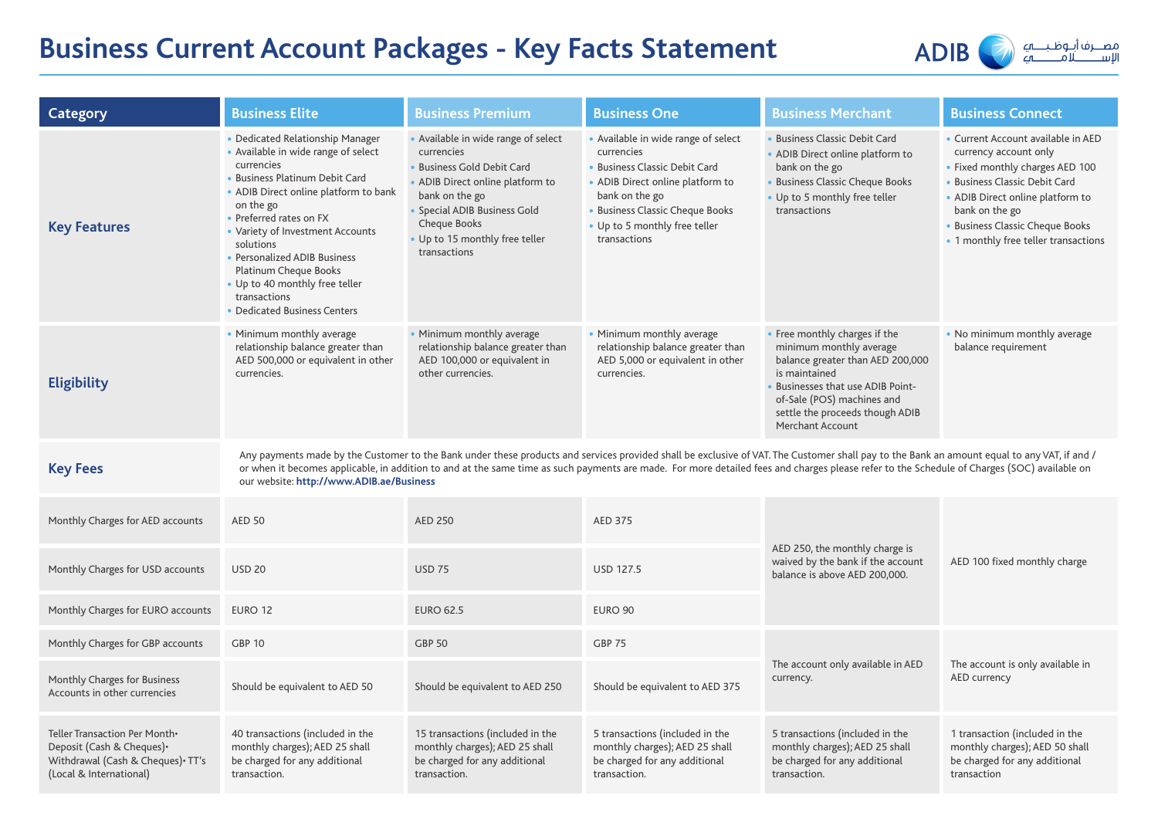# **Business Current Account Packages - Key Facts Statement**



| Category                                                                                                                   | <b>Business Elite</b>                                                                                                                                                                                                                                                                                                                                                                                                                  | <b>Business Premium</b>                                                                                                                                                                                                                 | <b>Business One</b>                                                                                                                                                                                                          | <b>Business Merchant</b>                                                                                                                                                                                                                            | <b>Business Connect</b>                                                                                                                                                                                                                                          |  |  |  |
|----------------------------------------------------------------------------------------------------------------------------|----------------------------------------------------------------------------------------------------------------------------------------------------------------------------------------------------------------------------------------------------------------------------------------------------------------------------------------------------------------------------------------------------------------------------------------|-----------------------------------------------------------------------------------------------------------------------------------------------------------------------------------------------------------------------------------------|------------------------------------------------------------------------------------------------------------------------------------------------------------------------------------------------------------------------------|-----------------------------------------------------------------------------------------------------------------------------------------------------------------------------------------------------------------------------------------------------|------------------------------------------------------------------------------------------------------------------------------------------------------------------------------------------------------------------------------------------------------------------|--|--|--|
| <b>Key Features</b>                                                                                                        | • Dedicated Relationship Manager<br>• Available in wide range of select<br>currencies<br>• Business Platinum Debit Card<br>• ADIB Direct online platform to bank<br>on the go<br>• Preferred rates on FX<br>• Variety of Investment Accounts<br>solutions<br>• Personalized ADIB Business<br>Platinum Cheque Books<br>• Up to 40 monthly free teller<br>transactions<br>• Dedicated Business Centers                                   | • Available in wide range of select<br>currencies<br>• Business Gold Debit Card<br>• ADIB Direct online platform to<br>bank on the go<br>• Special ADIB Business Gold<br>Cheque Books<br>. Up to 15 monthly free teller<br>transactions | • Available in wide range of select<br>currencies<br>• Business Classic Debit Card<br>• ADIB Direct online platform to<br>bank on the go<br>• Business Classic Cheque Books<br>• Up to 5 monthly free teller<br>transactions | · Business Classic Debit Card<br>• ADIB Direct online platform to<br>bank on the go<br>· Business Classic Cheque Books<br>• Up to 5 monthly free teller<br>transactions                                                                             | • Current Account available in AED<br>currency account only<br>• Fixed monthly charges AED 100<br>• Business Classic Debit Card<br>• ADIB Direct online platform to<br>bank on the go<br>• Business Classic Cheque Books<br>• 1 monthly free teller transactions |  |  |  |
| Eligibility                                                                                                                | • Minimum monthly average<br>relationship balance greater than<br>AED 500,000 or equivalent in other<br>currencies.                                                                                                                                                                                                                                                                                                                    | • Minimum monthly average<br>relationship balance greater than<br>AED 100,000 or equivalent in<br>other currencies.                                                                                                                     | • Minimum monthly average<br>relationship balance greater than<br>AED 5,000 or equivalent in other<br>currencies.                                                                                                            | • Free monthly charges if the<br>minimum monthly average<br>balance greater than AED 200,000<br>is maintained<br><b>Businesses that use ADIB Point-</b><br>of-Sale (POS) machines and<br>settle the proceeds though ADIB<br><b>Merchant Account</b> | • No minimum monthly average<br>balance requirement                                                                                                                                                                                                              |  |  |  |
| <b>Key Fees</b>                                                                                                            | Any payments made by the Customer to the Bank under these products and services provided shall be exclusive of VAT. The Customer shall pay to the Bank an amount equal to any VAT, if and /<br>or when it becomes applicable, in addition to and at the same time as such payments are made. For more detailed fees and charges please refer to the Schedule of Charges (SOC) available on<br>our website: http://www.ADIB.ae/Business |                                                                                                                                                                                                                                         |                                                                                                                                                                                                                              |                                                                                                                                                                                                                                                     |                                                                                                                                                                                                                                                                  |  |  |  |
| Monthly Charges for AED accounts                                                                                           | <b>AED 50</b>                                                                                                                                                                                                                                                                                                                                                                                                                          | <b>AED 250</b>                                                                                                                                                                                                                          | <b>AED 375</b>                                                                                                                                                                                                               |                                                                                                                                                                                                                                                     |                                                                                                                                                                                                                                                                  |  |  |  |
| Monthly Charges for USD accounts                                                                                           | <b>USD 20</b>                                                                                                                                                                                                                                                                                                                                                                                                                          | <b>USD 75</b>                                                                                                                                                                                                                           | <b>USD 127.5</b>                                                                                                                                                                                                             | AED 250, the monthly charge is<br>waived by the bank if the account<br>balance is above AED 200,000.                                                                                                                                                | AED 100 fixed monthly charge                                                                                                                                                                                                                                     |  |  |  |
| Monthly Charges for EURO accounts                                                                                          | EURO 12                                                                                                                                                                                                                                                                                                                                                                                                                                | <b>EURO 62.5</b>                                                                                                                                                                                                                        | EURO 90                                                                                                                                                                                                                      |                                                                                                                                                                                                                                                     |                                                                                                                                                                                                                                                                  |  |  |  |
| Monthly Charges for GBP accounts                                                                                           | <b>GBP 10</b>                                                                                                                                                                                                                                                                                                                                                                                                                          | <b>GBP 50</b>                                                                                                                                                                                                                           | <b>GBP 75</b>                                                                                                                                                                                                                |                                                                                                                                                                                                                                                     | The account is only available in<br>AED currency                                                                                                                                                                                                                 |  |  |  |
| Monthly Charges for Business<br>Accounts in other currencies                                                               | Should be equivalent to AED 50                                                                                                                                                                                                                                                                                                                                                                                                         | Should be equivalent to AED 250                                                                                                                                                                                                         | Should be equivalent to AED 375                                                                                                                                                                                              | The account only available in AED<br>currency.                                                                                                                                                                                                      |                                                                                                                                                                                                                                                                  |  |  |  |
| Teller Transaction Per Month.<br>Deposit (Cash & Cheques) •<br>Withdrawal (Cash & Cheques) TT's<br>(Local & International) | 40 transactions (included in the<br>monthly charges); AED 25 shall<br>be charged for any additional<br>transaction.                                                                                                                                                                                                                                                                                                                    | 15 transactions (included in the<br>monthly charges); AED 25 shall<br>be charged for any additional<br>transaction.                                                                                                                     | 5 transactions (included in the<br>monthly charges); AED 25 shall<br>be charged for any additional<br>transaction.                                                                                                           | 5 transactions (included in the<br>monthly charges); AED 25 shall<br>be charged for any additional<br>transaction.                                                                                                                                  | 1 transaction (included in the<br>monthly charges); AED 50 shall<br>be charged for any additional<br>transaction                                                                                                                                                 |  |  |  |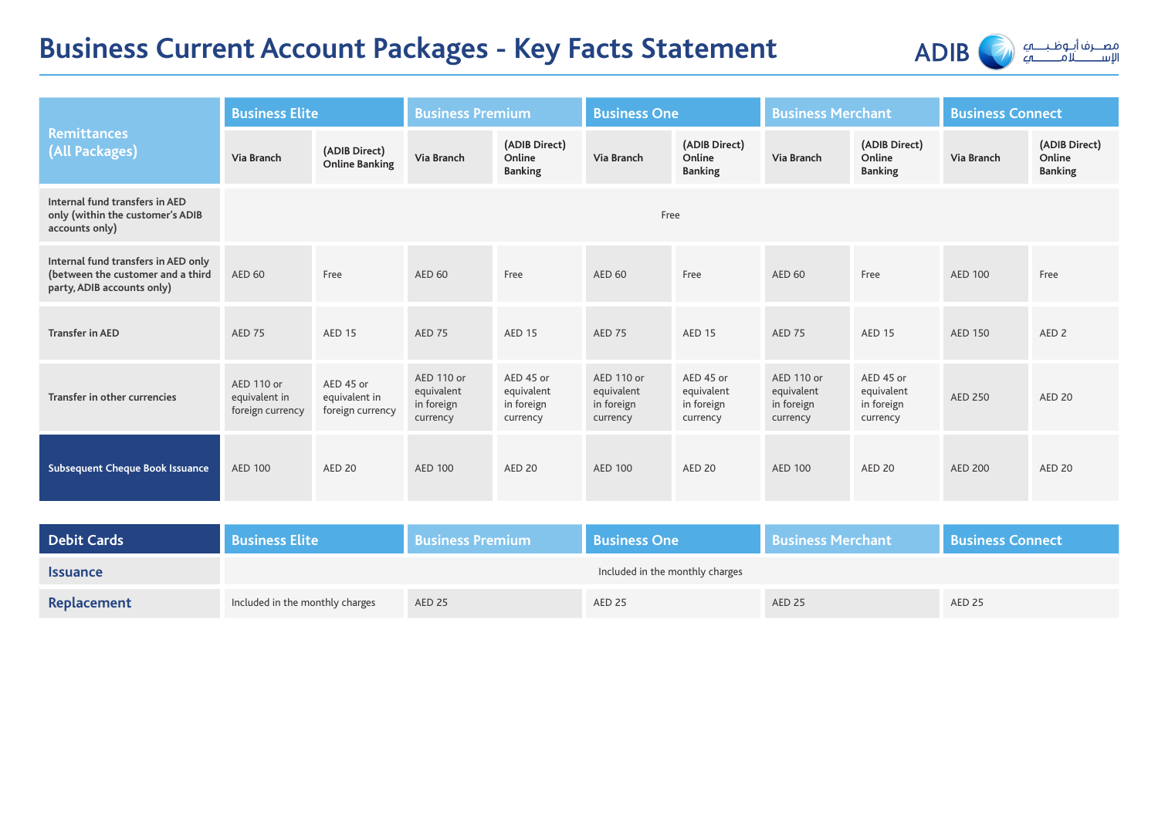# **Business Current Account Packages - Key Facts Statement**



|                                                                                                        | <b>Business Elite</b>                           |                                                | <b>Business Premium</b>                            |                                                   | <b>Business One</b>                                |                                                   | <b>Business Merchant</b>                           |                                                   | <b>Business Connect</b> |                                           |
|--------------------------------------------------------------------------------------------------------|-------------------------------------------------|------------------------------------------------|----------------------------------------------------|---------------------------------------------------|----------------------------------------------------|---------------------------------------------------|----------------------------------------------------|---------------------------------------------------|-------------------------|-------------------------------------------|
| <b>Remittances</b><br>(All Packages)                                                                   | Via Branch                                      | (ADIB Direct)<br><b>Online Banking</b>         | Via Branch                                         | (ADIB Direct)<br>Online<br><b>Banking</b>         | <b>Via Branch</b>                                  | (ADIB Direct)<br>Online<br><b>Banking</b>         | Via Branch                                         | (ADIB Direct)<br>Online<br><b>Banking</b>         | <b>Via Branch</b>       | (ADIB Direct)<br>Online<br><b>Banking</b> |
| Internal fund transfers in AED<br>only (within the customer's ADIB<br>accounts only)                   | Free                                            |                                                |                                                    |                                                   |                                                    |                                                   |                                                    |                                                   |                         |                                           |
| Internal fund transfers in AED only<br>(between the customer and a third<br>party, ADIB accounts only) | <b>AED 60</b>                                   | Free                                           | <b>AED 60</b>                                      | Free                                              | <b>AED 60</b>                                      | Free                                              | <b>AED 60</b>                                      | Free                                              | <b>AED 100</b>          | Free                                      |
| <b>Transfer in AED</b>                                                                                 | <b>AED 75</b>                                   | <b>AED 15</b>                                  | <b>AED 75</b>                                      | <b>AED 15</b>                                     | <b>AED 75</b>                                      | <b>AED 15</b>                                     | <b>AED 75</b>                                      | <b>AED 15</b>                                     | <b>AED 150</b>          | AED <sub>2</sub>                          |
| Transfer in other currencies                                                                           | AED 110 or<br>equivalent in<br>foreign currency | AED 45 or<br>equivalent in<br>foreign currency | AED 110 or<br>equivalent<br>in foreign<br>currency | AED 45 or<br>equivalent<br>in foreign<br>currency | AED 110 or<br>equivalent<br>in foreign<br>currency | AED 45 or<br>equivalent<br>in foreign<br>currency | AED 110 or<br>equivalent<br>in foreign<br>currency | AED 45 or<br>equivalent<br>in foreign<br>currency | <b>AED 250</b>          | <b>AED 20</b>                             |
| <b>Subsequent Cheque Book Issuance</b>                                                                 | <b>AED 100</b>                                  | <b>AED 20</b>                                  | <b>AED 100</b>                                     | AED 20                                            | <b>AED 100</b>                                     | <b>AED 20</b>                                     | <b>AED 100</b>                                     | AED 20                                            | <b>AED 200</b>          | <b>AED 20</b>                             |

| <b>Debit Cards</b> | <b>Business Elite</b>           | <b>Business Premium</b> | <b>Business One</b>             | <b>Business Merchant</b> | <b>Business Connect</b> |  |  |
|--------------------|---------------------------------|-------------------------|---------------------------------|--------------------------|-------------------------|--|--|
| <b>Issuance</b>    |                                 |                         | Included in the monthly charges |                          |                         |  |  |
| Replacement        | Included in the monthly charges | AED 25                  | AED <sub>25</sub>               | AED 25                   | <b>AED 25</b>           |  |  |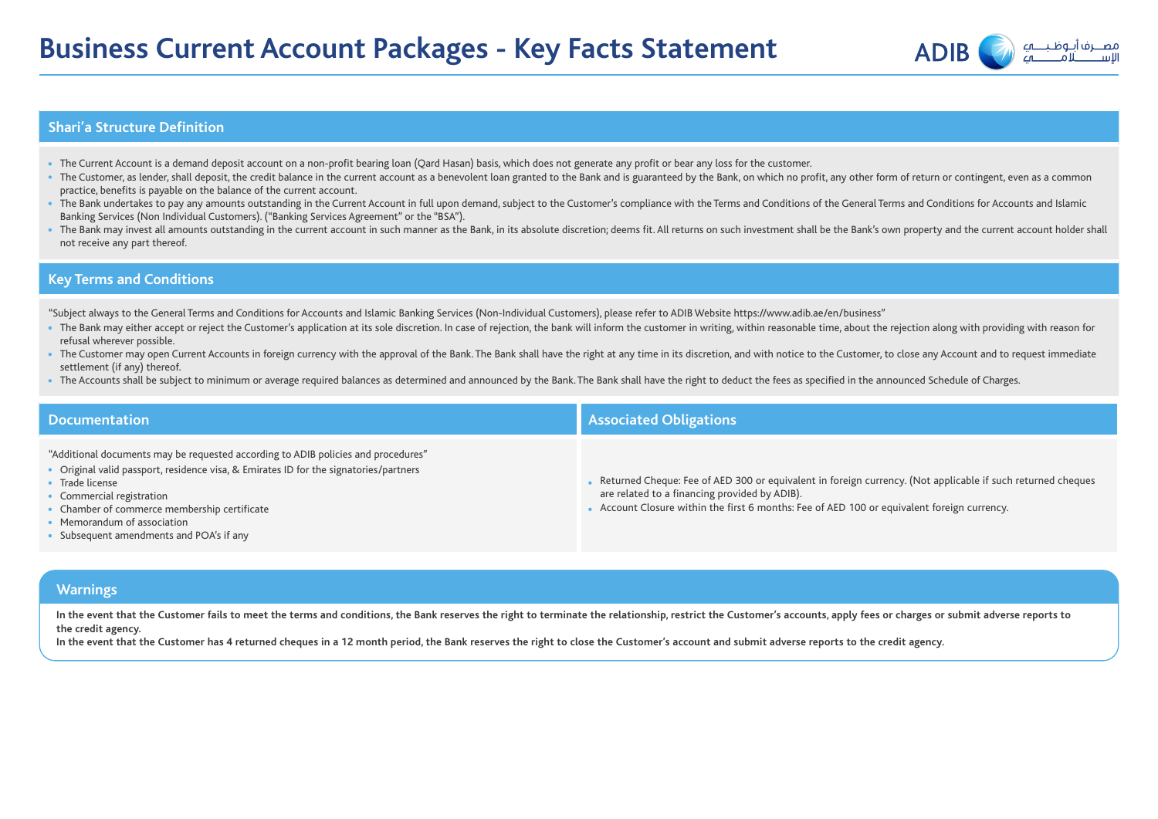

#### **Shari'a Structure Definition**

- The Current Account is a demand deposit account on a non-profit bearing loan (Qard Hasan) basis, which does not generate any profit or bear any loss for the customer.
- The Customer, as lender, shall deposit, the credit balance in the current account as a benevolent loan granted to the Bank and is guaranteed by the Bank, on which no profit, any other form of return or contingent, even a practice, benefits is payable on the balance of the current account.
- The Bank undertakes to pay any amounts outstanding in the Current Account in full upon demand, subject to the Customer's compliance with the Terms and Conditions of the General Terms and Conditions for Accounts and Islam Banking Services (Non Individual Customers). ("Banking Services Agreement" or the "BSA").
- The Bank may invest all amounts outstanding in the current account in such manner as the Bank. in its absolute discretion: deems fit. All returns on such investment shall be the Bank's own property and the current accoun not receive any part thereof.

### **Key Terms and Conditions**

"Subject always to the General Terms and Conditions for Accounts and Islamic Banking Services (Non-Individual Customers), please refer to ADIB Website https://www.adib.ae/en/business"

- The Bank may either accept or reject the Customer's application at its sole discretion. In case of rejection, the bank will inform the customer in writing, within reasonable time, about the rejection along with providing refusal wherever possible.
- The Customer may open Current Accounts in foreign currency with the approval of the Bank. The Bank shall have the right at any time in its discretion, and with notice to the Customer, to close any Account and to request settlement (if any) thereof.
- The Accounts shall be subject to minimum or average required balances as determined and announced by the Bank. The Bank shall have the right to deduct the fees as specified in the announced Schedule of Charges.

| <b>Documentation</b>                                                                                                                                                                                                                                                                                                                                  | <b>Associated Obligations</b>                                                                                                                                                                                                                               |
|-------------------------------------------------------------------------------------------------------------------------------------------------------------------------------------------------------------------------------------------------------------------------------------------------------------------------------------------------------|-------------------------------------------------------------------------------------------------------------------------------------------------------------------------------------------------------------------------------------------------------------|
| "Additional documents may be requested according to ADIB policies and procedures"<br>• Original valid passport, residence visa, & Emirates ID for the signatories/partners<br>• Trade license<br>• Commercial registration<br>• Chamber of commerce membership certificate<br>• Memorandum of association<br>• Subsequent amendments and POA's if any | Returned Cheque: Fee of AED 300 or equivalent in foreign currency. (Not applicable if such returned cheques<br>are related to a financing provided by ADIB).<br>• Account Closure within the first 6 months: Fee of AED 100 or equivalent foreign currency. |
|                                                                                                                                                                                                                                                                                                                                                       |                                                                                                                                                                                                                                                             |
| <b>Warnings</b>                                                                                                                                                                                                                                                                                                                                       |                                                                                                                                                                                                                                                             |
|                                                                                                                                                                                                                                                                                                                                                       |                                                                                                                                                                                                                                                             |

**In the event that the Customer fails to meet the terms and conditions, the Bank reserves the right to terminate the relationship, restrict the Customer's accounts, apply fees or charges or submit adverse reports to the credit agency.**

**In the event that the Customer has 4 returned cheques in a 12 month period, the Bank reserves the right to close the Customer's account and submit adverse reports to the credit agency.**